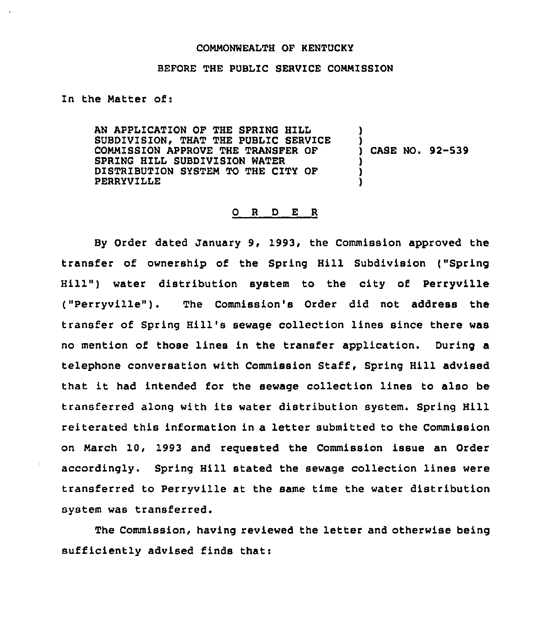## COMMONWEALTH OF KENTUCKY

## BEFORE THE PUBLIC SERVICE COMMISSION

In the Matter of:

AN APPLICATION OF THE SPRING HILL SUBDIVISION, THAT THE PUBLIC SERVICE COMMISSION APPROVE THE TRANSFER OF SPRING HILL SUBDIVISION WATER DISTRIBUTION SYSTEM TO THE CITY OF PERRYVILLE ) ) ) CASE NO. 92-539 ) ) )

## 0 R <sup>D</sup> E R

By Order dated January 9, 1993, the Commission approved the transfer of ownership of the Spring Hill Subdivision ("Spring Hill") water distribution system to the city of Perryville ("Perryville"). The Commission's Order did not address the transfer of Spring Hill's sewage collection lines since there was no mention of those lines in the transfer application. During a telephone conversation with Commission Staff, Spring Hill advised that it had intended for the sewage collection lines to also be transferred along with its water distribution system. Spring Hill reiterated this information in a letter submitted to the Commission on March 10, 1993 and requested the Commission issue an Order accordingly. Spring Hill stated the sewage collection lines were transferred to Perryville at the same time the water distribution system was transferred.

The Commission, having reviewed the letter and otherwise being sufficiently advised finds that: